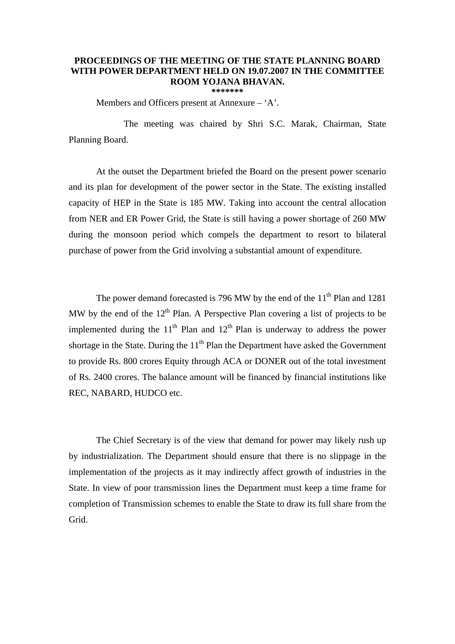## **PROCEEDINGS OF THE MEETING OF THE STATE PLANNING BOARD WITH POWER DEPARTMENT HELD ON 19.07.2007 IN THE COMMITTEE ROOM YOJANA BHAVAN. \*\*\*\*\*\*\***

Members and Officers present at Annexure – 'A'.

 The meeting was chaired by Shri S.C. Marak, Chairman, State Planning Board.

At the outset the Department briefed the Board on the present power scenario and its plan for development of the power sector in the State. The existing installed capacity of HEP in the State is 185 MW. Taking into account the central allocation from NER and ER Power Grid, the State is still having a power shortage of 260 MW during the monsoon period which compels the department to resort to bilateral purchase of power from the Grid involving a substantial amount of expenditure.

The power demand forecasted is 796 MW by the end of the  $11<sup>th</sup>$  Plan and 1281 MW by the end of the  $12<sup>th</sup>$  Plan. A Perspective Plan covering a list of projects to be implemented during the  $11<sup>th</sup>$  Plan and  $12<sup>th</sup>$  Plan is underway to address the power shortage in the State. During the  $11<sup>th</sup>$  Plan the Department have asked the Government to provide Rs. 800 crores Equity through ACA or DONER out of the total investment of Rs. 2400 crores. The balance amount will be financed by financial institutions like REC, NABARD, HUDCO etc.

The Chief Secretary is of the view that demand for power may likely rush up by industrialization. The Department should ensure that there is no slippage in the implementation of the projects as it may indirectly affect growth of industries in the State. In view of poor transmission lines the Department must keep a time frame for completion of Transmission schemes to enable the State to draw its full share from the Grid.